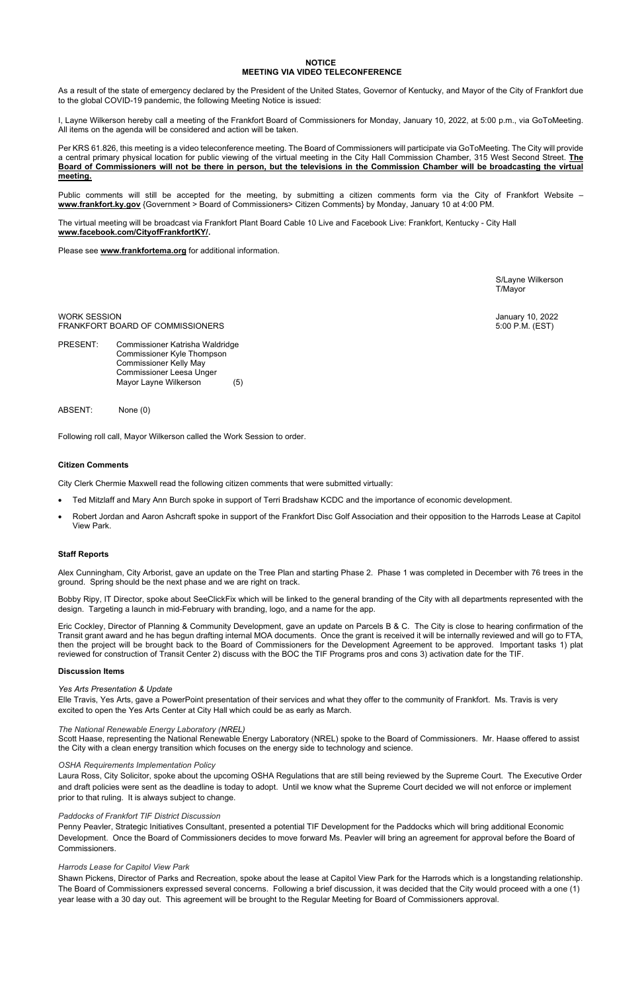## **NOTICE MEETING VIA VIDEO TELECONFERENCE**

As a result of the state of emergency declared by the President of the United States, Governor of Kentucky, and Mayor of the City of Frankfort due to the global COVID-19 pandemic, the following Meeting Notice is issued:

I, Layne Wilkerson hereby call a meeting of the Frankfort Board of Commissioners for Monday, January 10, 2022, at 5:00 p.m., via GoToMeeting. All items on the agenda will be considered and action will be taken.

Per KRS 61.826, this meeting is a video teleconference meeting. The Board of Commissioners will participate via GoToMeeting. The City will provide a central primary physical location for public viewing of the virtual meeting in the City Hall Commission Chamber, 315 West Second Street. **The Board of Commissioners will not be there in person, but the televisions in the Commission Chamber will be broadcasting the virtual meeting.** 

WORK SESSION January 10, 2022 FRANKFORT BOARD OF COMMISSIONERS

PRESENT: Commissioner Katrisha Waldridge Commissioner Kyle Thompson Commissioner Kelly May Commissioner Leesa Unger Mayor Layne Wilkerson (5)

Public comments will still be accepted for the meeting, by submitting a citizen comments form via the City of Frankfort Website – **[www.frankfort.ky.gov](http://www.frankfort.ky.gov/)** {Government > Board of Commissioners> Citizen Comments} by Monday, January 10 at 4:00 PM.

The virtual meeting will be broadcast via Frankfort Plant Board Cable 10 Live and Facebook Live: Frankfort, Kentucky - City Hall **[www.facebook.com/CityofFrankfortKY/.](http://www.facebook.com/CityofFrankfortKY/)**

Please see **[www.frankfortema.org](http://www.frankfortema.org/)** for additional information.

S/Layne Wilkerson T/Mayor

ABSENT: None (0)

Following roll call, Mayor Wilkerson called the Work Session to order.

# **Citizen Comments**

City Clerk Chermie Maxwell read the following citizen comments that were submitted virtually:

- Ted Mitzlaff and Mary Ann Burch spoke in support of Terri Bradshaw KCDC and the importance of economic development.
- Robert Jordan and Aaron Ashcraft spoke in support of the Frankfort Disc Golf Association and their opposition to the Harrods Lease at Capitol View Park.

# **Staff Reports**

Alex Cunningham, City Arborist, gave an update on the Tree Plan and starting Phase 2. Phase 1 was completed in December with 76 trees in the ground. Spring should be the next phase and we are right on track.

Bobby Ripy, IT Director, spoke about SeeClickFix which will be linked to the general branding of the City with all departments represented with the design. Targeting a launch in mid-February with branding, logo, and a name for the app.

Eric Cockley, Director of Planning & Community Development, gave an update on Parcels B & C. The City is close to hearing confirmation of the Transit grant award and he has begun drafting internal MOA documents. Once the grant is received it will be internally reviewed and will go to FTA, then the project will be brought back to the Board of Commissioners for the Development Agreement to be approved. Important tasks 1) plat reviewed for construction of Transit Center 2) discuss with the BOC the TIF Programs pros and cons 3) activation date for the TIF.

## **Discussion Items**

# *Yes Arts Presentation & Update*

Elle Travis, Yes Arts, gave a PowerPoint presentation of their services and what they offer to the community of Frankfort. Ms. Travis is very excited to open the Yes Arts Center at City Hall which could be as early as March.

Scott Haase, representing the National Renewable Energy Laboratory (NREL) spoke to the Board of Commissioners. Mr. Haase offered to assist the City with a clean energy transition which focuses on the energy side to technology and science.

#### *OSHA Requirements Implementation Policy*

Laura Ross, City Solicitor, spoke about the upcoming OSHA Regulations that are still being reviewed by the Supreme Court. The Executive Order and draft policies were sent as the deadline is today to adopt. Until we know what the Supreme Court decided we will not enforce or implement prior to that ruling. It is always subject to change.

## *Paddocks of Frankfort TIF District Discussion*

Penny Peavler, Strategic Initiatives Consultant, presented a potential TIF Development for the Paddocks which will bring additional Economic Development. Once the Board of Commissioners decides to move forward Ms. Peavler will bring an agreement for approval before the Board of Commissioners.

#### *Harrods Lease for Capitol View Park*

Shawn Pickens, Director of Parks and Recreation, spoke about the lease at Capitol View Park for the Harrods which is a longstanding relationship. The Board of Commissioners expressed several concerns. Following a brief discussion, it was decided that the City would proceed with a one (1) year lease with a 30 day out. This agreement will be brought to the Regular Meeting for Board of Commissioners approval.